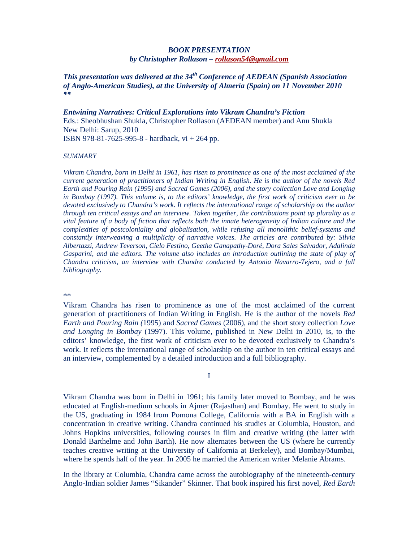## *BOOK PRESENTATION by Christopher Rollason – rollason54@gmail.com*

*This presentation was delivered at the 34th Conference of AEDEAN (Spanish Association of Anglo-American Studies), at the University of Almería (Spain) on 11 November 2010 \*\** 

*Entwining Narratives: Critical Explorations into Vikram Chandra's Fiction* Eds.: Sheobhushan Shukla, Christopher Rollason (AEDEAN member) and Anu Shukla New Delhi: Sarup, 2010 ISBN 978-81-7625-995-8 - hardback, vi + 264 pp.

## *SUMMARY*

*Vikram Chandra, born in Delhi in 1961, has risen to prominence as one of the most acclaimed of the current generation of practitioners of Indian Writing in English. He is the author of the novels Red Earth and Pouring Rain (1995) and Sacred Games (2006), and the story collection Love and Longing in Bombay (1997). This volume is, to the editors' knowledge, the first work of criticism ever to be devoted exclusively to Chandra's work. It reflects the international range of scholarship on the author through ten critical essays and an interview. Taken together, the contributions point up plurality as a vital feature of a body of fiction that reflects both the innate heterogeneity of Indian culture and the complexities of postcoloniality and globalisation, while refusing all monolithic belief-systems and constantly interweaving a multiplicity of narrative voices. The articles are contributed by: Silvia Albertazzi, Andrew Teverson, Cielo Festino, Geetha Ganapathy-Doré, Dora Sales Salvador, Adalinda Gasparini, and the editors. The volume also includes an introduction outlining the state of play of Chandra criticism, an interview with Chandra conducted by Antonia Navarro-Tejero, and a full bibliography.* 

\*\*

Vikram Chandra has risen to prominence as one of the most acclaimed of the current generation of practitioners of Indian Writing in English. He is the author of the novels *Red Earth and Pouring Rain (*1995) and *Sacred Games* (2006), and the short story collection *Love and Longing in Bombay* (1997). This volume, published in New Delhi in 2010, is, to the editors' knowledge, the first work of criticism ever to be devoted exclusively to Chandra's work. It reflects the international range of scholarship on the author in ten critical essays and an interview, complemented by a detailed introduction and a full bibliography.

I

Vikram Chandra was born in Delhi in 1961; his family later moved to Bombay, and he was educated at English-medium schools in Ajmer (Rajasthan) and Bombay. He went to study in the US, graduating in 1984 from Pomona College, California with a BA in English with a concentration in creative writing. Chandra continued his studies at Columbia, Houston, and Johns Hopkins universities, following courses in film and creative writing (the latter with Donald Barthelme and John Barth). He now alternates between the US (where he currently teaches creative writing at the University of California at Berkeley), and Bombay/Mumbai, where he spends half of the year. In 2005 he married the American writer Melanie Abrams.

In the library at Columbia, Chandra came across the autobiography of the nineteenth-century Anglo-Indian soldier James "Sikander" Skinner. That book inspired his first novel, *Red Earth*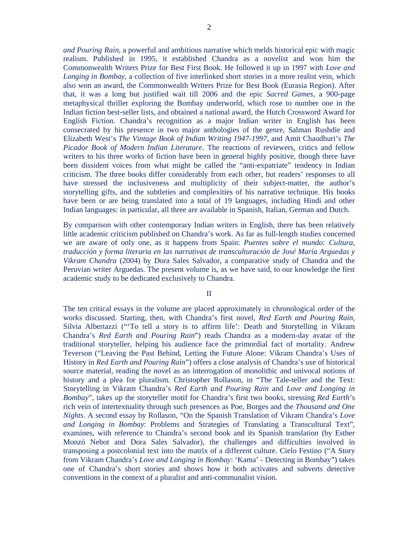*and Pouring Rain*, a powerful and ambitious narrative which melds historical epic with magic realism. Published in 1995, it established Chandra as a novelist and won him the Commonwealth Writers Prize for Best First Book. He followed it up in 1997 with *Love and Longing in Bombay*, a collection of five interlinked short stories in a more realist vein, which also won an award, the Commonwealth Writers Prize for Best Book (Eurasia Region). After that, it was a long but justified wait till 2006 and the epic *Sacred Games*, a 900-page metaphysical thriller exploring the Bombay underworld, which rose to number one in the Indian fiction best-seller lists, and obtained a national award, the Hutch Crossword Award for English Fiction. Chandra's recognition as a major Indian writer in English has been consecrated by his presence in two major anthologies of the genre, Salman Rushdie and Elizabeth West's *The Vintage Book of Indian Writing 1947-1997*, and Amit Chaudhuri's *The Picador Book of Modern Indian Literature*. The reactions of reviewers, critics and fellow writers to his three works of fiction have been in general highly positive, though there have been dissident voices from what might be called the "anti-expatriate" tendency in Indian criticism. The three books differ considerably from each other, but readers' responses to all have stressed the inclusiveness and multiplicity of their subject-matter, the author's storytelling gifts, and the subtleties and complexities of his narrative technique. His books have been or are being translated into a total of 19 languages, including Hindi and other Indian languages: in particular, all three are available in Spanish, Italian, German and Dutch.

By comparison with other contemporary Indian writers in English, there has been relatively little academic criticism published on Chandra's work. As far as full-length studies concerned we are aware of only one, as it happens from Spain: *Puentes sobre el mundo: Cultura, traducción y forma literaria en las narrativas de transculturación de José María Arguedas y Vikram Chandra* (2004) by Dora Sales Salvador, a comparative study of Chandra and the Peruvian writer Arguedas. The present volume is, as we have said, to our knowledge the first academic study to be dedicated exclusively to Chandra.

II

The ten critical essays in the volume are placed approximately in chronological order of the works discussed. Starting, then, with Chandra's first novel, *Red Earth and Pouring Rain*, Silvia Albertazzi ("'To tell a story is to affirm life': Death and Storytelling in Vikram Chandra's *Red Earth and Pouring Rain*") reads Chandra as a modern-day avatar of the traditional storyteller, helping his audience face the primordial fact of mortality. Andrew Teverson ("Leaving the Past Behind, Letting the Future Alone: Vikram Chandra's Uses of History in *Red Earth and Pouring Rain*") offers a close analysis of Chandra's use of historical source material, reading the novel as an interrogation of monolithic and univocal notions of history and a plea for pluralism. Christopher Rollason, in "The Tale-teller and the Text: Storytelling in Vikram Chandra's *Red Earth and Pouring Rain* and *Love and Longing in Bombay*", takes up the storyteller motif for Chandra's first two books, stressing *Red Earth*'s rich vein of intertextuality through such presences as Poe, Borges and the *Thousand and One Nights*. A second essay by Rollason, "On the Spanish Translation of Vikram Chandra's *Love and Longing in Bombay*: Problems and Strategies of Translating a Transcultural Text", examines, with reference to Chandra's second book and its Spanish translation (by Esther Monzó Nebot and Dora Sales Salvador), the challenges and difficulties involved in transposing a postcolonial text into the matrix of a different culture. Cielo Festino ("A Story from Vikram Chandra's *Love and Longing in Bombay*: 'Kama' - Detecting in Bombay") takes one of Chandra's short stories and shows how it both activates and subverts detective conventions in the context of a pluralist and anti-communalist vision.